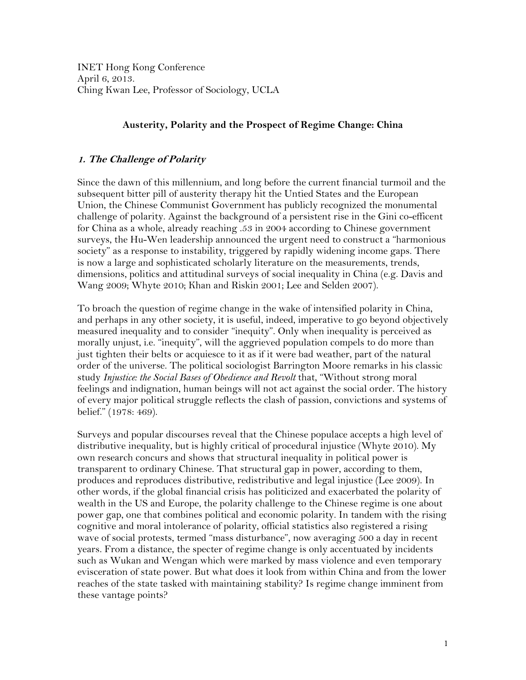INET Hong Kong Conference April 6, 2013. Ching Kwan Lee, Professor of Sociology, UCLA

# **Austerity, Polarity and the Prospect of Regime Change: China**

# **1. The Challenge of Polarity**

Since the dawn of this millennium, and long before the current financial turmoil and the subsequent bitter pill of austerity therapy hit the Untied States and the European Union, the Chinese Communist Government has publicly recognized the monumental challenge of polarity. Against the background of a persistent rise in the Gini co-efficent for China as a whole, already reaching .53 in 2004 according to Chinese government surveys, the Hu-Wen leadership announced the urgent need to construct a "harmonious society" as a response to instability, triggered by rapidly widening income gaps. There is now a large and sophisticated scholarly literature on the measurements, trends, dimensions, politics and attitudinal surveys of social inequality in China (e.g. Davis and Wang 2009; Whyte 2010; Khan and Riskin 2001; Lee and Selden 2007).

To broach the question of regime change in the wake of intensified polarity in China, and perhaps in any other society, it is useful, indeed, imperative to go beyond objectively measured inequality and to consider "inequity". Only when inequality is perceived as morally unjust, i.e. "inequity", will the aggrieved population compels to do more than just tighten their belts or acquiesce to it as if it were bad weather, part of the natural order of the universe. The political sociologist Barrington Moore remarks in his classic study *Injustice: the Social Bases of Obedience and Revolt* that, "Without strong moral feelings and indignation, human beings will not act against the social order. The history of every major political struggle reflects the clash of passion, convictions and systems of belief." (1978: 469).

Surveys and popular discourses reveal that the Chinese populace accepts a high level of distributive inequality, but is highly critical of procedural injustice (Whyte 2010). My own research concurs and shows that structural inequality in political power is transparent to ordinary Chinese. That structural gap in power, according to them, produces and reproduces distributive, redistributive and legal injustice (Lee 2009). In other words, if the global financial crisis has politicized and exacerbated the polarity of wealth in the US and Europe, the polarity challenge to the Chinese regime is one about power gap, one that combines political and economic polarity. In tandem with the rising cognitive and moral intolerance of polarity, official statistics also registered a rising wave of social protests, termed "mass disturbance", now averaging 500 a day in recent years. From a distance, the specter of regime change is only accentuated by incidents such as Wukan and Wengan which were marked by mass violence and even temporary evisceration of state power. But what does it look from within China and from the lower reaches of the state tasked with maintaining stability? Is regime change imminent from these vantage points?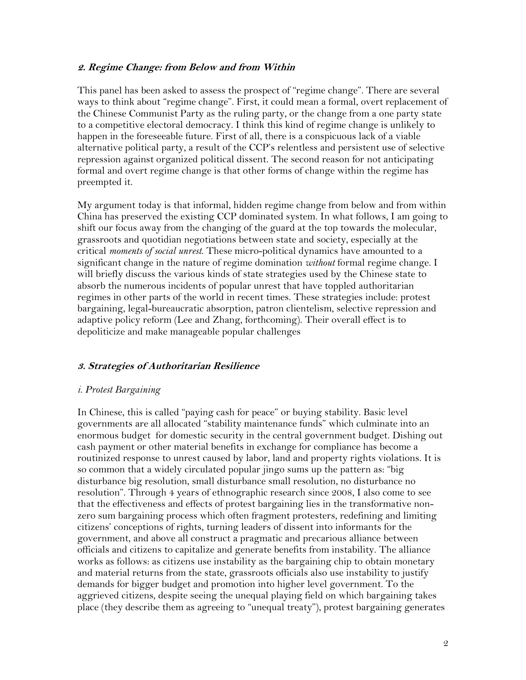### **2. Regime Change: from Below and from Within**

This panel has been asked to assess the prospect of "regime change". There are several ways to think about "regime change". First, it could mean a formal, overt replacement of the Chinese Communist Party as the ruling party, or the change from a one party state to a competitive electoral democracy. I think this kind of regime change is unlikely to happen in the foreseeable future. First of all, there is a conspicuous lack of a viable alternative political party, a result of the CCP's relentless and persistent use of selective repression against organized political dissent. The second reason for not anticipating formal and overt regime change is that other forms of change within the regime has preempted it.

My argument today is that informal, hidden regime change from below and from within China has preserved the existing CCP dominated system. In what follows, I am going to shift our focus away from the changing of the guard at the top towards the molecular, grassroots and quotidian negotiations between state and society, especially at the critical *moments of social unrest*. These micro-political dynamics have amounted to a significant change in the nature of regime domination *without* formal regime change. I will briefly discuss the various kinds of state strategies used by the Chinese state to absorb the numerous incidents of popular unrest that have toppled authoritarian regimes in other parts of the world in recent times. These strategies include: protest bargaining, legal-bureaucratic absorption, patron clientelism, selective repression and adaptive policy reform (Lee and Zhang, forthcoming). Their overall effect is to depoliticize and make manageable popular challenges

## **3. Strategies of Authoritarian Resilience**

#### *i. Protest Bargaining*

In Chinese, this is called "paying cash for peace" or buying stability. Basic level governments are all allocated "stability maintenance funds" which culminate into an enormous budget for domestic security in the central government budget. Dishing out cash payment or other material benefits in exchange for compliance has become a routinized response to unrest caused by labor, land and property rights violations. It is so common that a widely circulated popular jingo sums up the pattern as: "big disturbance big resolution, small disturbance small resolution, no disturbance no resolution". Through 4 years of ethnographic research since 2008, I also come to see that the effectiveness and effects of protest bargaining lies in the transformative nonzero sum bargaining process which often fragment protesters, redefining and limiting citizens' conceptions of rights, turning leaders of dissent into informants for the government, and above all construct a pragmatic and precarious alliance between officials and citizens to capitalize and generate benefits from instability. The alliance works as follows: as citizens use instability as the bargaining chip to obtain monetary and material returns from the state, grassroots officials also use instability to justify demands for bigger budget and promotion into higher level government. To the aggrieved citizens, despite seeing the unequal playing field on which bargaining takes place (they describe them as agreeing to "unequal treaty"), protest bargaining generates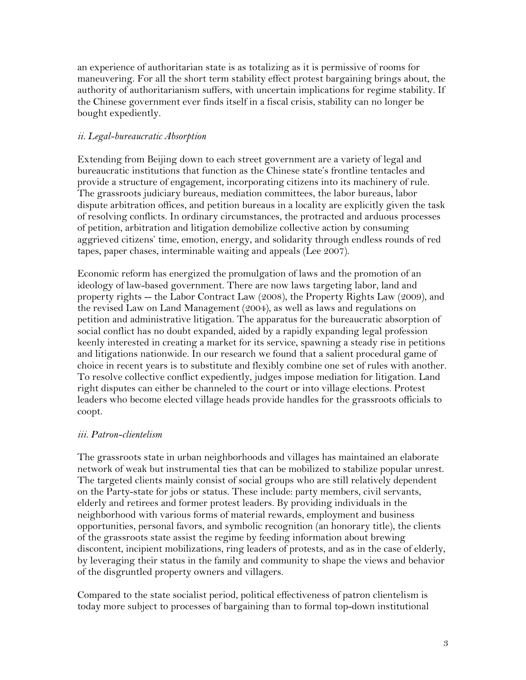an experience of authoritarian state is as totalizing as it is permissive of rooms for maneuvering. For all the short term stability effect protest bargaining brings about, the authority of authoritarianism suffers, with uncertain implications for regime stability. If the Chinese government ever finds itself in a fiscal crisis, stability can no longer be bought expediently.

## *ii. Legal-bureaucratic Absorption*

Extending from Beijing down to each street government are a variety of legal and bureaucratic institutions that function as the Chinese state's frontline tentacles and provide a structure of engagement, incorporating citizens into its machinery of rule. The grassroots judiciary bureaus, mediation committees, the labor bureaus, labor dispute arbitration offices, and petition bureaus in a locality are explicitly given the task of resolving conflicts. In ordinary circumstances, the protracted and arduous processes of petition, arbitration and litigation demobilize collective action by consuming aggrieved citizens' time, emotion, energy, and solidarity through endless rounds of red tapes, paper chases, interminable waiting and appeals (Lee 2007).

Economic reform has energized the promulgation of laws and the promotion of an ideology of law-based government. There are now laws targeting labor, land and property rights -- the Labor Contract Law (2008), the Property Rights Law (2009), and the revised Law on Land Management (2004), as well as laws and regulations on petition and administrative litigation. The apparatus for the bureaucratic absorption of social conflict has no doubt expanded, aided by a rapidly expanding legal profession keenly interested in creating a market for its service, spawning a steady rise in petitions and litigations nationwide. In our research we found that a salient procedural game of choice in recent years is to substitute and flexibly combine one set of rules with another. To resolve collective conflict expediently, judges impose mediation for litigation. Land right disputes can either be channeled to the court or into village elections. Protest leaders who become elected village heads provide handles for the grassroots officials to coopt.

## *iii. Patron-clientelism*

The grassroots state in urban neighborhoods and villages has maintained an elaborate network of weak but instrumental ties that can be mobilized to stabilize popular unrest. The targeted clients mainly consist of social groups who are still relatively dependent on the Party-state for jobs or status. These include: party members, civil servants, elderly and retirees and former protest leaders. By providing individuals in the neighborhood with various forms of material rewards, employment and business opportunities, personal favors, and symbolic recognition (an honorary title), the clients of the grassroots state assist the regime by feeding information about brewing discontent, incipient mobilizations, ring leaders of protests, and as in the case of elderly, by leveraging their status in the family and community to shape the views and behavior of the disgruntled property owners and villagers.

Compared to the state socialist period, political effectiveness of patron clientelism is today more subject to processes of bargaining than to formal top-down institutional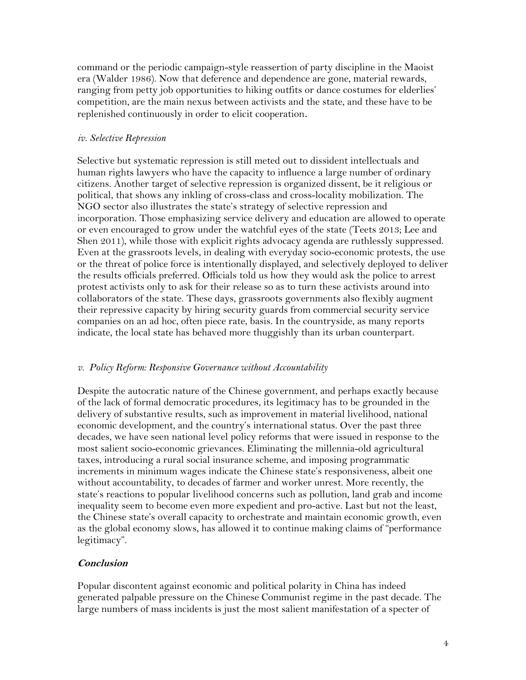command or the periodic campaign-style reassertion of party discipline in the Maoist era (Walder 1986). Now that deference and dependence are gone, material rewards, ranging from petty job opportunities to hiking outfits or dance costumes for elderlies' competition, are the main nexus between activists and the state, and these have to be replenished continuously in order to elicit cooperation.

#### *iv. Selective Repression*

Selective but systematic repression is still meted out to dissident intellectuals and human rights lawyers who have the capacity to influence a large number of ordinary citizens. Another target of selective repression is organized dissent, be it religious or political, that shows any inkling of cross-class and cross-locality mobilization. The NGO sector also illustrates the state's strategy of selective repression and incorporation. Those emphasizing service delivery and education are allowed to operate or even encouraged to grow under the watchful eyes of the state (Teets 2013; Lee and Shen 2011), while those with explicit rights advocacy agenda are ruthlessly suppressed. Even at the grassroots levels, in dealing with everyday socio-economic protests, the use or the threat of police force is intentionally displayed, and selectively deployed to deliver the results officials preferred. Officials told us how they would ask the police to arrest protest activists only to ask for their release so as to turn these activists around into collaborators of the state. These days, grassroots governments also flexibly augment their repressive capacity by hiring security guards from commercial security service companies on an ad hoc, often piece rate, basis. In the countryside, as many reports indicate, the local state has behaved more thuggishly than its urban counterpart.

#### *v. Policy Reform: Responsive Governance without Accountability*

Despite the autocratic nature of the Chinese government, and perhaps exactly because of the lack of formal democratic procedures, its legitimacy has to be grounded in the delivery of substantive results, such as improvement in material livelihood, national economic development, and the country's international status. Over the past three decades, we have seen national level policy reforms that were issued in response to the most salient socio-economic grievances. Eliminating the millennia-old agricultural taxes, introducing a rural social insurance scheme, and imposing programmatic increments in minimum wages indicate the Chinese state's responsiveness, albeit one without accountability, to decades of farmer and worker unrest. More recently, the state's reactions to popular livelihood concerns such as pollution, land grab and income inequality seem to become even more expedient and pro-active. Last but not the least, the Chinese state's overall capacity to orchestrate and maintain economic growth, even as the global economy slows, has allowed it to continue making claims of "performance legitimacy".

## **Conclusion**

Popular discontent against economic and political polarity in China has indeed generated palpable pressure on the Chinese Communist regime in the past decade. The large numbers of mass incidents is just the most salient manifestation of a specter of